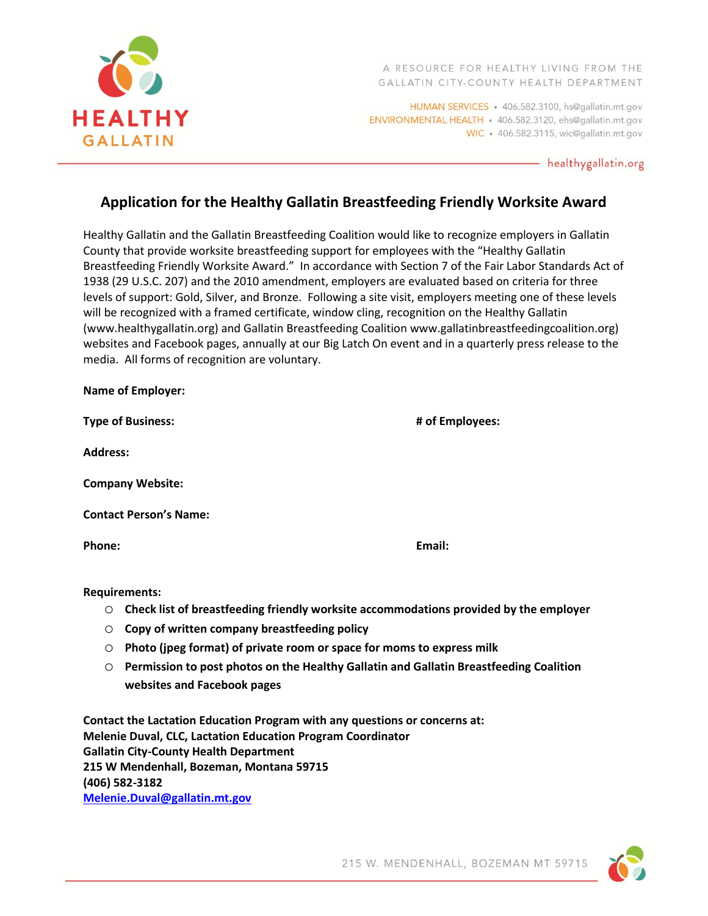

HUMAN SERVICES . 406.582.3100, hs@gallatin.mt.gov ENVIRONMENTAL HEALTH · 406.582.3120, ehs@gallatin.mt.gov WIC · 406.582.3115, wic@gallatin.mt.gov

- healthygallatin.org

## **Application for the Healthy Gallatin Breastfeeding Friendly Worksite Award**

Healthy Gallatin and the Gallatin Breastfeeding Coalition would like to recognize employers in Gallatin County that provide worksite breastfeeding support for employees with the "Healthy Gallatin Breastfeeding Friendly Worksite Award." In accordance with Section 7 of the Fair Labor Standards Act of 1938 (29 U.S.C. 207) and the 2010 amendment, employers are evaluated based on criteria for three levels of support: Gold, Silver, and Bronze. Following a site visit, employers meeting one of these levels will be recognized with a framed certificate, window cling, recognition on the Healthy Gallatin (www.healthygallatin.org) and Gallatin Breastfeeding Coalition www.gallatinbreastfeedingcoalition.org) websites and Facebook pages, annually at our Big Latch On event and in a quarterly press release to the media. All forms of recognition are voluntary.

| <b>Name of Employer:</b>      |                 |
|-------------------------------|-----------------|
| <b>Type of Business:</b>      | # of Employees: |
| <b>Address:</b>               |                 |
| <b>Company Website:</b>       |                 |
| <b>Contact Person's Name:</b> |                 |
| Phone:                        | Email:          |
|                               |                 |

**Requirements:**

- o **Check list of breastfeeding friendly worksite accommodations provided by the employer**
- o **Copy of written company breastfeeding policy**
- o **Photo (jpeg format) of private room or space for moms to express milk**
- o **Permission to post photos on the Healthy Gallatin and Gallatin Breastfeeding Coalition websites and Facebook pages**

**Contact the Lactation Education Program with any questions or concerns at: Melenie Duval, CLC, Lactation Education Program Coordinator Gallatin City-County Health Department 215 W Mendenhall, Bozeman, Montana 59715 (406) 582-3182 [Melenie.Duval@gallatin.mt.gov](mailto:Melenie.Duval@gallatin.mt.gov)**